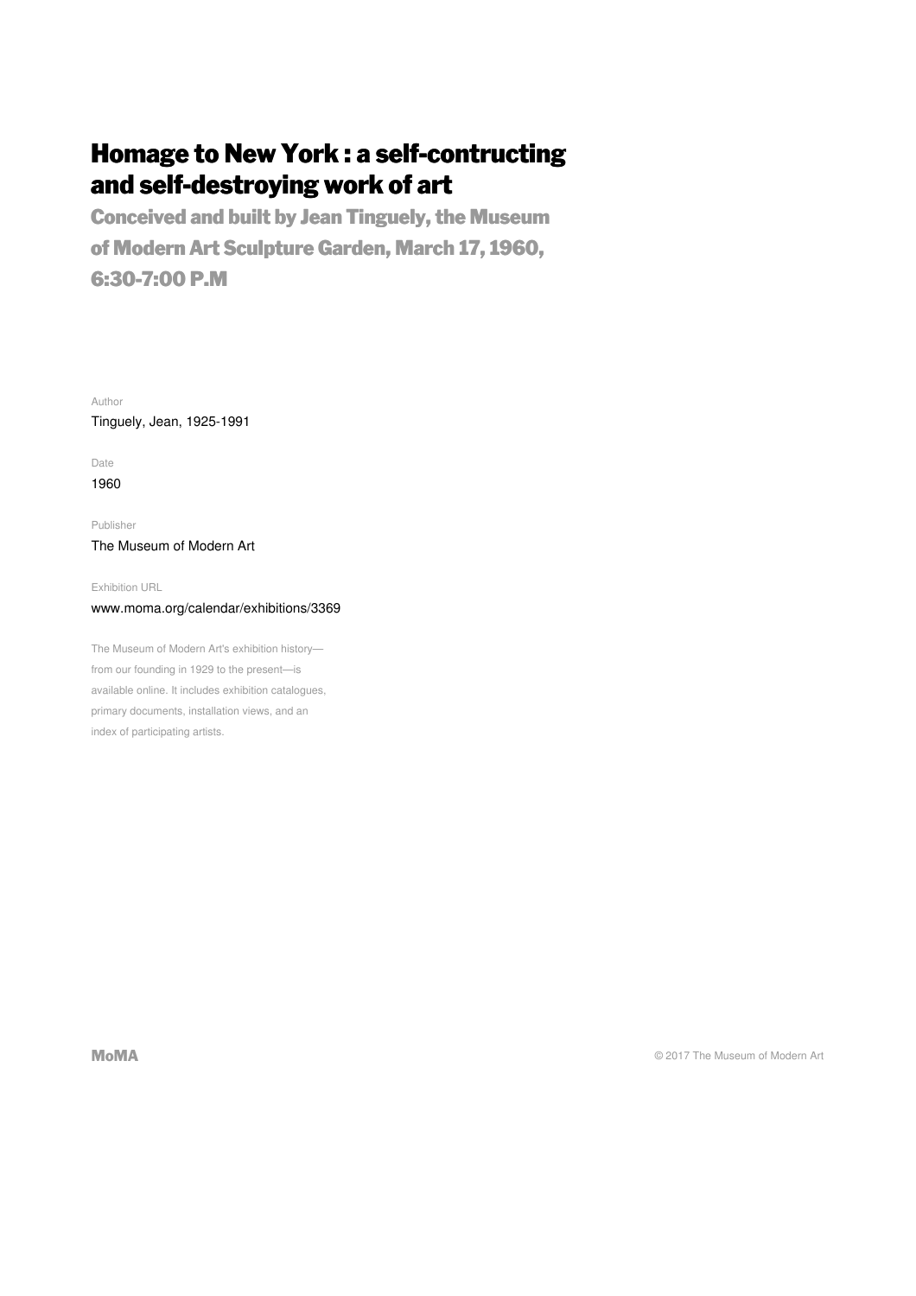# Homage to New York : a self-contructing and self-destroying work of art

Conceived and built by Jean Tinguely, the Museum of Modern Art Sculpture Garden, March 17, 1960, 6:30-7:00 P.M

Author

Tinguely, Jean, 1925-1991

Date 1960

Publisher

The Museum of Modern Art

Exhibition URL

#### [www.moma.org/calendar/exhibitions/3369](https://www.moma.org/calendar/exhibitions/3369)

The Museum of Modern Art's exhibition history from our founding in 1929 to the present—is available online. It includes exhibition catalogues, primary documents, installation views, and an index of participating artists.

[MoMA](http://www.moma.org) © 2017 The Museum of Modern Art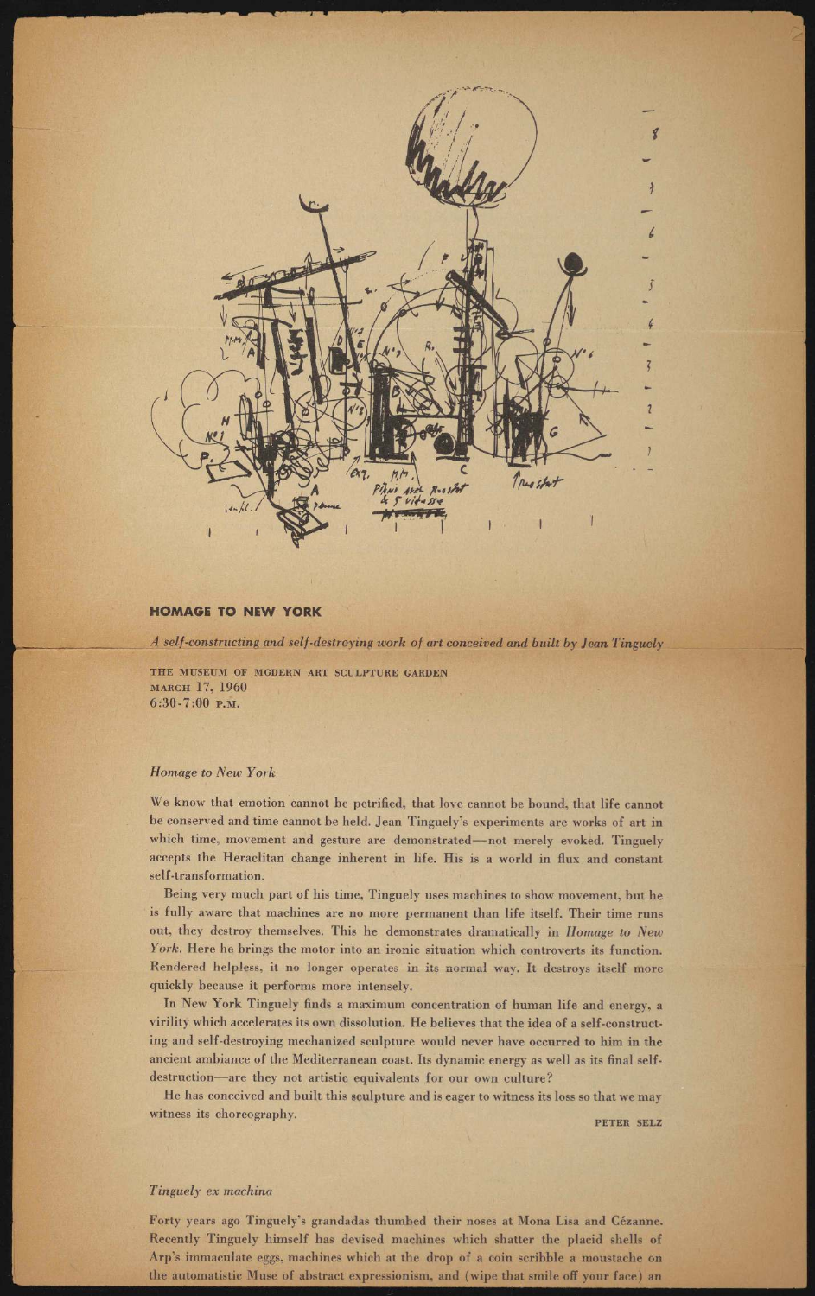

#### **HOMAGE TO NEW YORK**

A self -constructing and self -destroying work of art conceived and built by Jean Tinguely

THE MUSEUM OF MODERN ART SCULPTURE GARDEN MARCH 17, 1960 6:30-7:00 p.m.

#### Homage to New York

We know that emotion cannot be petrified, that love cannot be bound, that life cannot be conserved and time cannot be held. Jean Tinguely's experiments are works of art in which time, movement and gesture are demonstrated-not merely evoked. Tinguely accepts the Heraclitan change inherent in life. His is a world in flux and constant self-transformation.

Being very much part of his time, Tinguely uses machines to show movement, but he is fully aware that machines are no more permanent than life itself. Their time runs out, they destroy themselves. This he demonstrates dramatically in Homage to New York. Here he brings the motor into an ironic situation which controverts its function. Rendered helpless, it no longer operates in its normal way. It destroys itself more quickly because it performs more intensely.

In New York Tinguely finds a maximum concentration of human life and energy, a virility which accelerates its own dissolution. He believes that the idea of a self-constructing and self-destroying mechanized sculpture would never have occurred to him in the ancient ambiance of the Mediterranean coast. Its dynamic energy as well as its final selfdestruction—are they not artistic equivalents for our own culture?

He has conceived and built this sculpture and is eager to witness its loss so that we may witness its choreography.

PETER SELZ

### Tinguely ex machina

Forty years ago Tinguely's grandadas thumbed their noses at Mona Lisa and Cezanne. Recently Tinguely himself has devised machines which shatter the placid shells of Arp's immaculate eggs, machines which at the drop of a coin scribble a moustache on the automatistic Muse of abstract expressionism, and (wipe that smile off your face) an